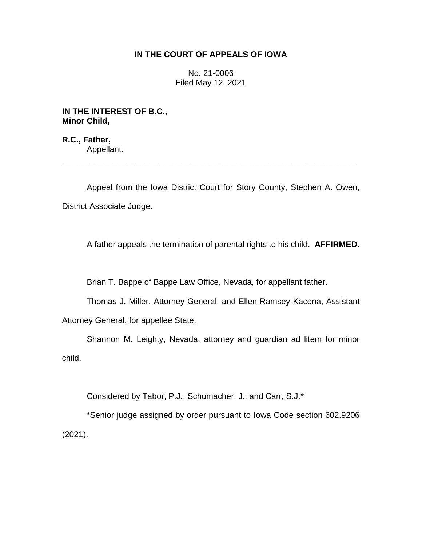## **IN THE COURT OF APPEALS OF IOWA**

No. 21-0006 Filed May 12, 2021

**IN THE INTEREST OF B.C., Minor Child,**

**R.C., Father,** Appellant.

Appeal from the Iowa District Court for Story County, Stephen A. Owen, District Associate Judge.

\_\_\_\_\_\_\_\_\_\_\_\_\_\_\_\_\_\_\_\_\_\_\_\_\_\_\_\_\_\_\_\_\_\_\_\_\_\_\_\_\_\_\_\_\_\_\_\_\_\_\_\_\_\_\_\_\_\_\_\_\_\_\_\_

A father appeals the termination of parental rights to his child. **AFFIRMED.**

Brian T. Bappe of Bappe Law Office, Nevada, for appellant father.

Thomas J. Miller, Attorney General, and Ellen Ramsey-Kacena, Assistant

Attorney General, for appellee State.

Shannon M. Leighty, Nevada, attorney and guardian ad litem for minor child.

Considered by Tabor, P.J., Schumacher, J., and Carr, S.J.\*

\*Senior judge assigned by order pursuant to Iowa Code section 602.9206 (2021).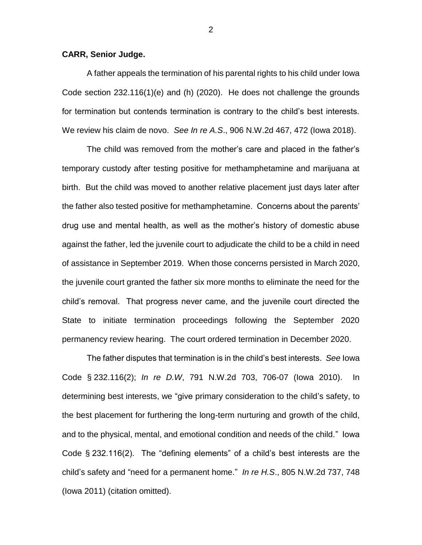## **CARR, Senior Judge.**

A father appeals the termination of his parental rights to his child under Iowa Code section 232.116(1)(e) and (h) (2020). He does not challenge the grounds for termination but contends termination is contrary to the child's best interests. We review his claim de novo. *See In re A.S*., 906 N.W.2d 467, 472 (Iowa 2018).

The child was removed from the mother's care and placed in the father's temporary custody after testing positive for methamphetamine and marijuana at birth. But the child was moved to another relative placement just days later after the father also tested positive for methamphetamine. Concerns about the parents' drug use and mental health, as well as the mother's history of domestic abuse against the father, led the juvenile court to adjudicate the child to be a child in need of assistance in September 2019. When those concerns persisted in March 2020, the juvenile court granted the father six more months to eliminate the need for the child's removal. That progress never came, and the juvenile court directed the State to initiate termination proceedings following the September 2020 permanency review hearing. The court ordered termination in December 2020.

The father disputes that termination is in the child's best interests. *See* Iowa Code § 232.116(2); *In re D.W*, 791 N.W.2d 703, 706-07 (Iowa 2010). In determining best interests, we "give primary consideration to the child's safety, to the best placement for furthering the long-term nurturing and growth of the child, and to the physical, mental, and emotional condition and needs of the child." Iowa Code § 232.116(2). The "defining elements" of a child's best interests are the child's safety and "need for a permanent home." *In re H.S*., 805 N.W.2d 737, 748 (Iowa 2011) (citation omitted).

2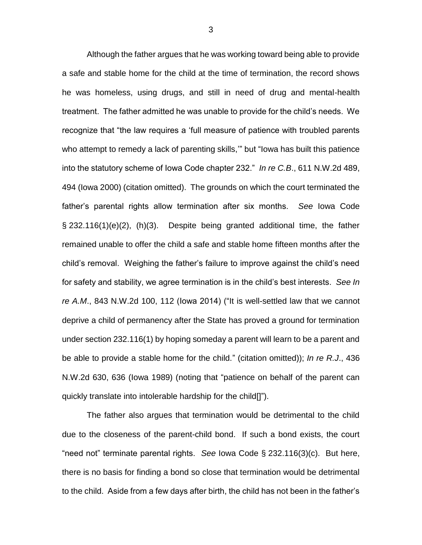Although the father argues that he was working toward being able to provide a safe and stable home for the child at the time of termination, the record shows he was homeless, using drugs, and still in need of drug and mental-health treatment. The father admitted he was unable to provide for the child's needs. We recognize that "the law requires a 'full measure of patience with troubled parents who attempt to remedy a lack of parenting skills,'" but "Iowa has built this patience into the statutory scheme of Iowa Code chapter 232." *In re C.B*., 611 N.W.2d 489, 494 (Iowa 2000) (citation omitted). The grounds on which the court terminated the father's parental rights allow termination after six months. *See* Iowa Code § 232.116(1)(e)(2), (h)(3). Despite being granted additional time, the father remained unable to offer the child a safe and stable home fifteen months after the child's removal. Weighing the father's failure to improve against the child's need for safety and stability, we agree termination is in the child's best interests. *See In re A.M*., 843 N.W.2d 100, 112 (Iowa 2014) ("It is well-settled law that we cannot deprive a child of permanency after the State has proved a ground for termination under section 232.116(1) by hoping someday a parent will learn to be a parent and be able to provide a stable home for the child." (citation omitted)); *In re R.J*., 436 N.W.2d 630, 636 (Iowa 1989) (noting that "patience on behalf of the parent can quickly translate into intolerable hardship for the child[]").

The father also argues that termination would be detrimental to the child due to the closeness of the parent-child bond. If such a bond exists, the court "need not" terminate parental rights. *See* Iowa Code § 232.116(3)(c). But here, there is no basis for finding a bond so close that termination would be detrimental to the child. Aside from a few days after birth, the child has not been in the father's

3